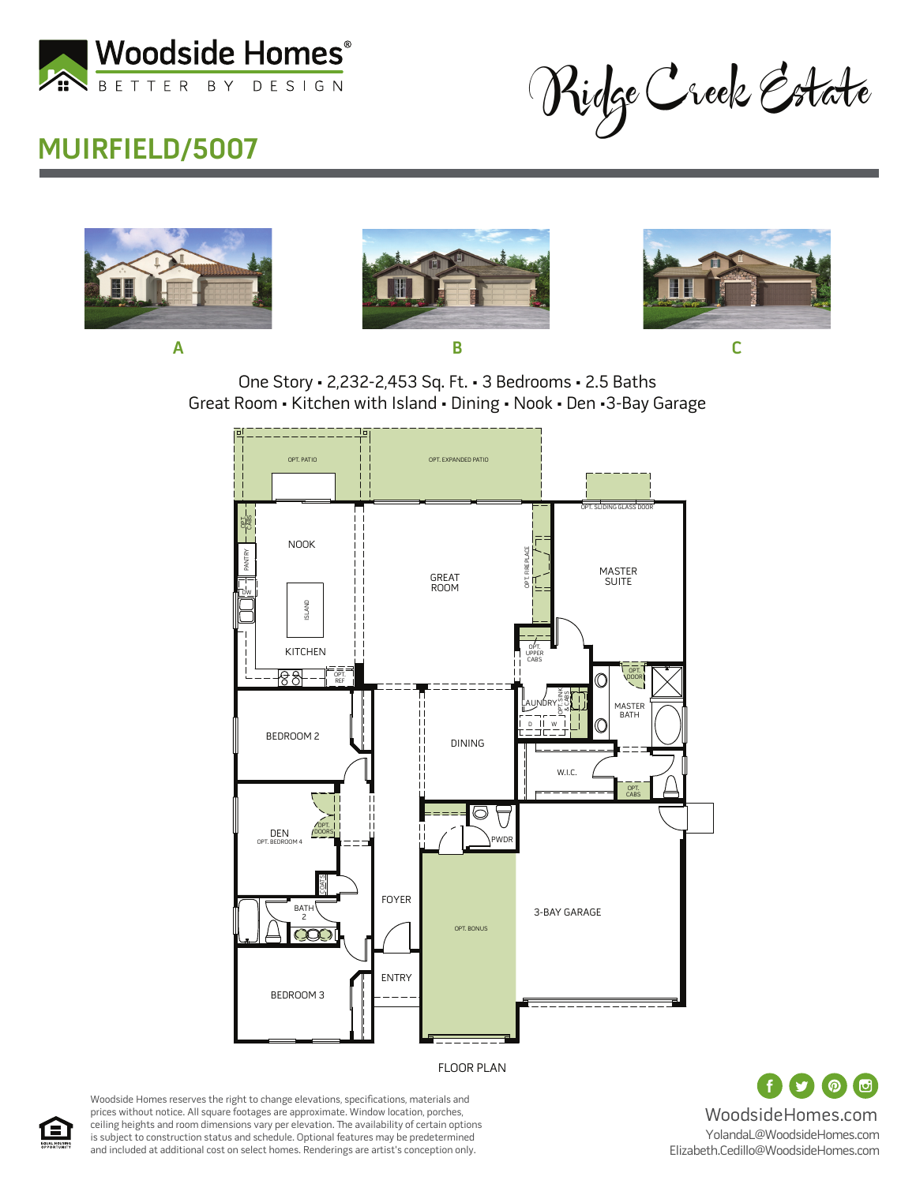

## **MUIRFIELD/5007**

Ridge Creek Estate







One Story • 2,232-2,453 Sq. Ft. • 3 Bedrooms • 2.5 Baths Great Room • Kitchen with Island • Dining • Nook • Den •3-Bay Garage



 $\bigcirc$  $\odot$ WoodsideHomes.com YolandaL@WoodsideHomes.com Elizabeth.Cedillo@WoodsideHomes.com

Woodside Homes reserves the right to change elevations, specifications, materials and prices without notice. All square footages are approximate. Window location, porches, ceiling heights and room dimensions vary per elevation. The availability of certain options is subject to construction status and schedule. Optional features may be predetermined and included at additional cost on select homes. Renderings are artist's conception only.